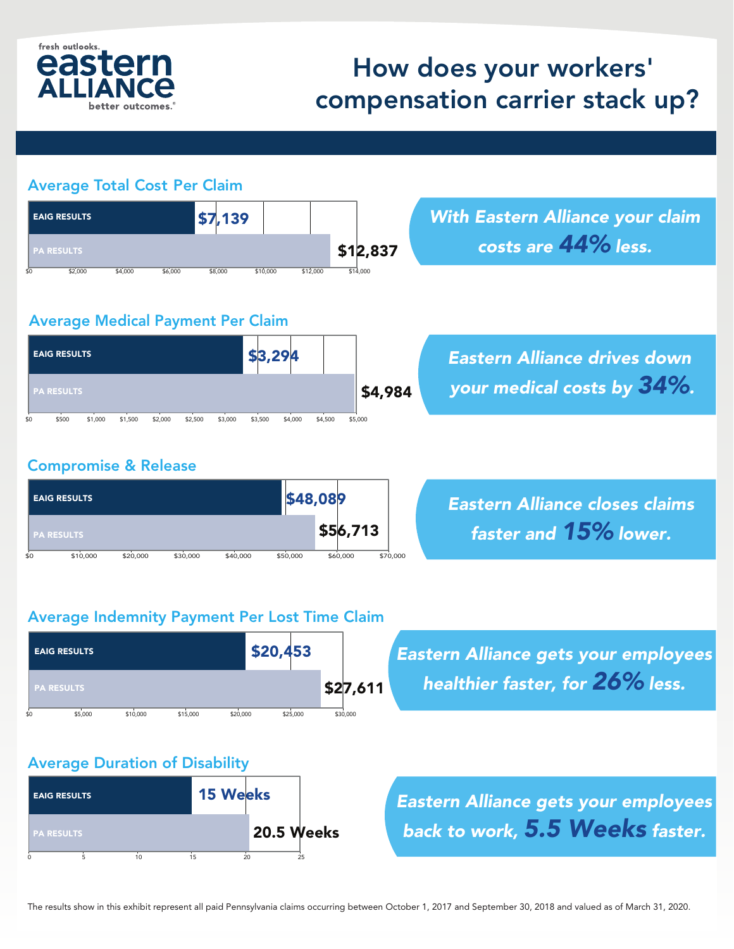

## How does your workers' compensation carrier stack up?

| <b>EAIG RESULTS</b>                                             | \$7,139                       |                    |                      | <b>With Eastern Alliance your claim</b> |
|-----------------------------------------------------------------|-------------------------------|--------------------|----------------------|-----------------------------------------|
| <b>PA RESULTS</b>                                               |                               |                    | \$12,837             | costs are 44% less.                     |
| \$2,000<br>\$4,000                                              | \$6,000<br>\$8,000            | \$10,000           | \$14.000<br>\$12,000 |                                         |
| <b>Average Medical Payment Per Claim</b><br><b>EAIG RESULTS</b> |                               |                    |                      |                                         |
|                                                                 |                               | \$3,294            |                      | <b>Eastern Alliance drives down</b>     |
| <b>PA RESULTS</b>                                               |                               |                    |                      | your medical costs by 34%.<br>\$4,984   |
| \$500<br>\$1,000<br>\$1,500                                     | \$3,000<br>\$2,000<br>\$2,500 | \$3,500<br>\$4,000 | \$4,500<br>\$5,000   |                                         |
|                                                                 |                               |                    |                      |                                         |
| <b>Compromise &amp; Release</b>                                 |                               |                    |                      |                                         |
|                                                                 |                               |                    |                      |                                         |

\$56,713

### \$0 \$10,000 \$20,000 \$30,000 \$40,000 \$50,000 \$60,000 \$70,000

*Eastern Alliance closes claims faster and 15% lower.*

#### Average Indemnity Payment Per Lost Time Claim



*Eastern Alliance gets your employees healthier faster, for 26% less.*

#### Average Duration of Disability

PA RESULTS



*Eastern Alliance gets your employees back to work, 5.5 Weeks faster.*